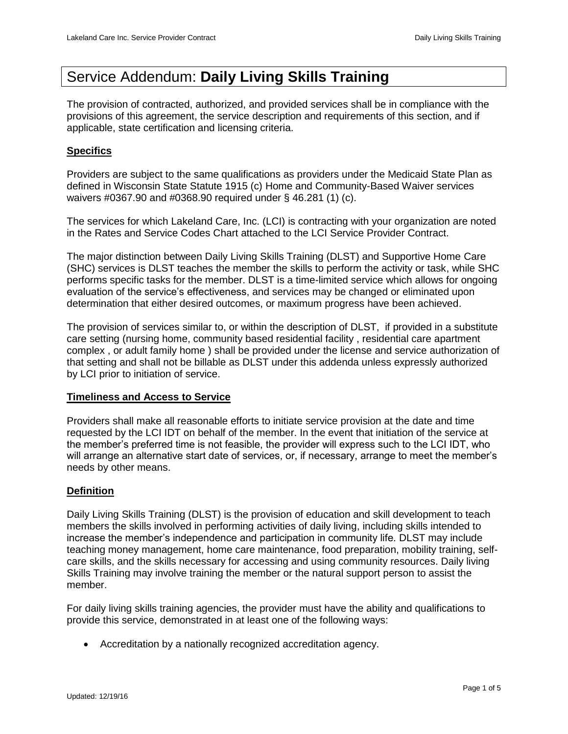# Service Addendum: **Daily Living Skills Training**

The provision of contracted, authorized, and provided services shall be in compliance with the provisions of this agreement, the service description and requirements of this section, and if applicable, state certification and licensing criteria.

## **Specifics**

Providers are subject to the same qualifications as providers under the Medicaid State Plan as defined in Wisconsin State Statute 1915 (c) Home and Community-Based Waiver services waivers #0367.90 and #0368.90 required under § 46.281 (1) (c).

The services for which Lakeland Care, Inc. (LCI) is contracting with your organization are noted in the Rates and Service Codes Chart attached to the LCI Service Provider Contract.

The major distinction between Daily Living Skills Training (DLST) and Supportive Home Care (SHC) services is DLST teaches the member the skills to perform the activity or task, while SHC performs specific tasks for the member. DLST is a time-limited service which allows for ongoing evaluation of the service's effectiveness, and services may be changed or eliminated upon determination that either desired outcomes, or maximum progress have been achieved.

The provision of services similar to, or within the description of DLST, if provided in a substitute care setting (nursing home, community based residential facility , residential care apartment complex , or adult family home ) shall be provided under the license and service authorization of that setting and shall not be billable as DLST under this addenda unless expressly authorized by LCI prior to initiation of service.

## **Timeliness and Access to Service**

Providers shall make all reasonable efforts to initiate service provision at the date and time requested by the LCI IDT on behalf of the member. In the event that initiation of the service at the member's preferred time is not feasible, the provider will express such to the LCI IDT, who will arrange an alternative start date of services, or, if necessary, arrange to meet the member's needs by other means.

## **Definition**

Daily Living Skills Training (DLST) is the provision of education and skill development to teach members the skills involved in performing activities of daily living, including skills intended to increase the member's independence and participation in community life. DLST may include teaching money management, home care maintenance, food preparation, mobility training, selfcare skills, and the skills necessary for accessing and using community resources. Daily living Skills Training may involve training the member or the natural support person to assist the member.

For daily living skills training agencies, the provider must have the ability and qualifications to provide this service, demonstrated in at least one of the following ways:

Accreditation by a nationally recognized accreditation agency.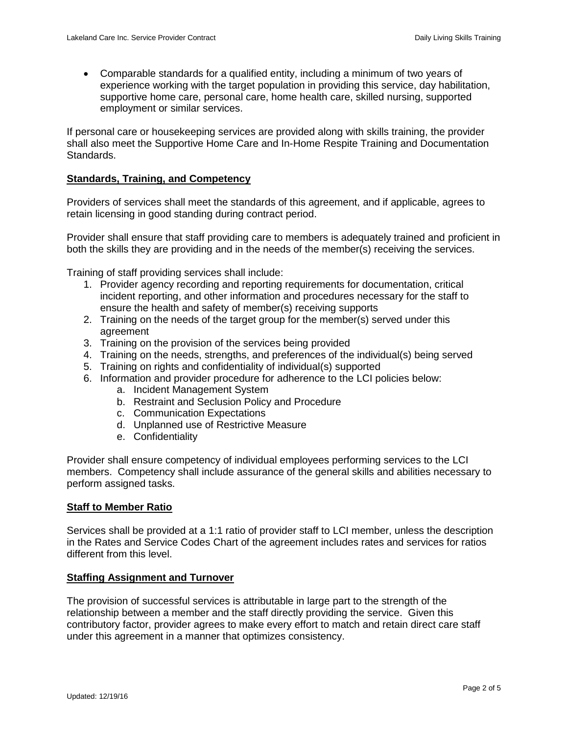Comparable standards for a qualified entity, including a minimum of two years of experience working with the target population in providing this service, day habilitation, supportive home care, personal care, home health care, skilled nursing, supported employment or similar services.

If personal care or housekeeping services are provided along with skills training, the provider shall also meet the Supportive Home Care and In-Home Respite Training and Documentation Standards.

#### **Standards, Training, and Competency**

Providers of services shall meet the standards of this agreement, and if applicable, agrees to retain licensing in good standing during contract period.

Provider shall ensure that staff providing care to members is adequately trained and proficient in both the skills they are providing and in the needs of the member(s) receiving the services.

Training of staff providing services shall include:

- 1. Provider agency recording and reporting requirements for documentation, critical incident reporting, and other information and procedures necessary for the staff to ensure the health and safety of member(s) receiving supports
- 2. Training on the needs of the target group for the member(s) served under this agreement
- 3. Training on the provision of the services being provided
- 4. Training on the needs, strengths, and preferences of the individual(s) being served
- 5. Training on rights and confidentiality of individual(s) supported
- 6. Information and provider procedure for adherence to the LCI policies below:
	- a. Incident Management System
	- b. Restraint and Seclusion Policy and Procedure
	- c. Communication Expectations
	- d. Unplanned use of Restrictive Measure
	- e. Confidentiality

Provider shall ensure competency of individual employees performing services to the LCI members. Competency shall include assurance of the general skills and abilities necessary to perform assigned tasks.

#### **Staff to Member Ratio**

Services shall be provided at a 1:1 ratio of provider staff to LCI member, unless the description in the Rates and Service Codes Chart of the agreement includes rates and services for ratios different from this level.

#### **Staffing Assignment and Turnover**

The provision of successful services is attributable in large part to the strength of the relationship between a member and the staff directly providing the service. Given this contributory factor, provider agrees to make every effort to match and retain direct care staff under this agreement in a manner that optimizes consistency.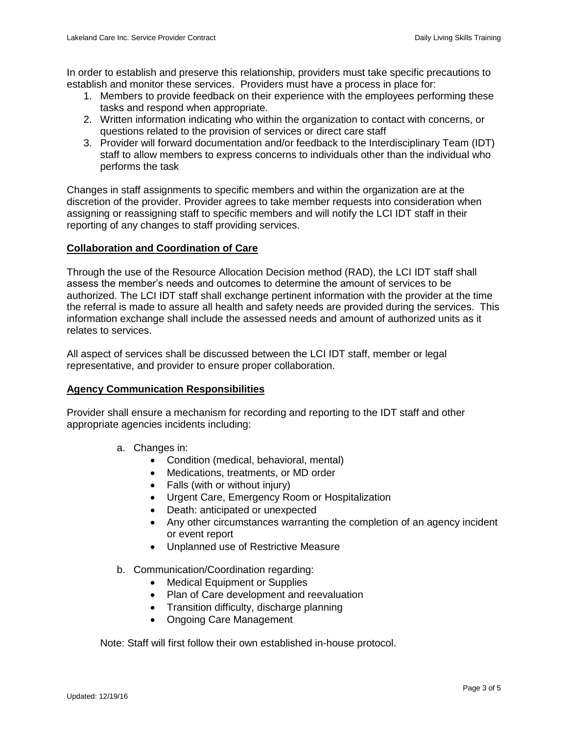In order to establish and preserve this relationship, providers must take specific precautions to establish and monitor these services. Providers must have a process in place for:

- 1. Members to provide feedback on their experience with the employees performing these tasks and respond when appropriate.
- 2. Written information indicating who within the organization to contact with concerns, or questions related to the provision of services or direct care staff
- 3. Provider will forward documentation and/or feedback to the Interdisciplinary Team (IDT) staff to allow members to express concerns to individuals other than the individual who performs the task

Changes in staff assignments to specific members and within the organization are at the discretion of the provider. Provider agrees to take member requests into consideration when assigning or reassigning staff to specific members and will notify the LCI IDT staff in their reporting of any changes to staff providing services.

## **Collaboration and Coordination of Care**

Through the use of the Resource Allocation Decision method (RAD), the LCI IDT staff shall assess the member's needs and outcomes to determine the amount of services to be authorized. The LCI IDT staff shall exchange pertinent information with the provider at the time the referral is made to assure all health and safety needs are provided during the services. This information exchange shall include the assessed needs and amount of authorized units as it relates to services.

All aspect of services shall be discussed between the LCI IDT staff, member or legal representative, and provider to ensure proper collaboration.

#### **Agency Communication Responsibilities**

Provider shall ensure a mechanism for recording and reporting to the IDT staff and other appropriate agencies incidents including:

- a. Changes in:
	- Condition (medical, behavioral, mental)
	- Medications, treatments, or MD order
	- Falls (with or without injury)
	- Urgent Care, Emergency Room or Hospitalization
	- Death: anticipated or unexpected
	- Any other circumstances warranting the completion of an agency incident or event report
	- Unplanned use of Restrictive Measure
- b. Communication/Coordination regarding:
	- Medical Equipment or Supplies
	- Plan of Care development and reevaluation
	- Transition difficulty, discharge planning
	- Ongoing Care Management

Note: Staff will first follow their own established in-house protocol.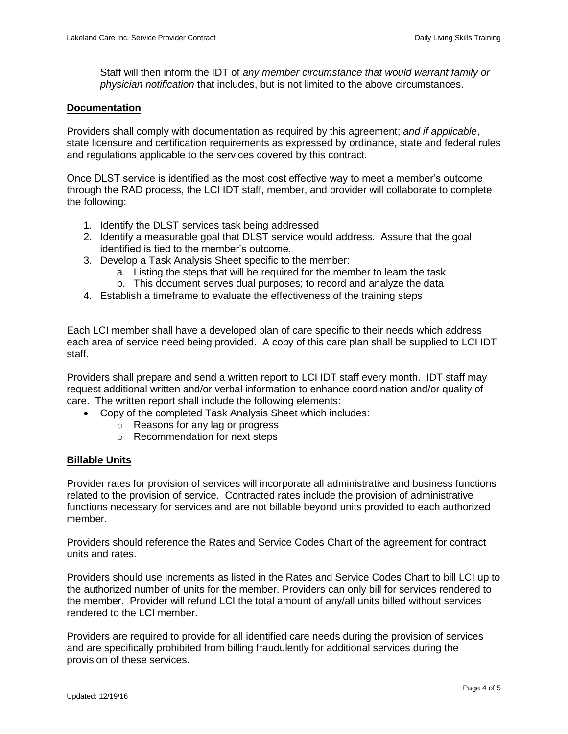Staff will then inform the IDT of *any member circumstance that would warrant family or physician notification* that includes, but is not limited to the above circumstances.

#### **Documentation**

Providers shall comply with documentation as required by this agreement; *and if applicable*, state licensure and certification requirements as expressed by ordinance, state and federal rules and regulations applicable to the services covered by this contract.

Once DLST service is identified as the most cost effective way to meet a member's outcome through the RAD process, the LCI IDT staff, member, and provider will collaborate to complete the following:

- 1. Identify the DLST services task being addressed
- 2. Identify a measurable goal that DLST service would address. Assure that the goal identified is tied to the member's outcome.
- 3. Develop a Task Analysis Sheet specific to the member:
	- a. Listing the steps that will be required for the member to learn the task
	- b. This document serves dual purposes; to record and analyze the data
- 4. Establish a timeframe to evaluate the effectiveness of the training steps

Each LCI member shall have a developed plan of care specific to their needs which address each area of service need being provided. A copy of this care plan shall be supplied to LCI IDT staff.

Providers shall prepare and send a written report to LCI IDT staff every month. IDT staff may request additional written and/or verbal information to enhance coordination and/or quality of care. The written report shall include the following elements:

- Copy of the completed Task Analysis Sheet which includes:
	- o Reasons for any lag or progress
	- o Recommendation for next steps

#### **Billable Units**

Provider rates for provision of services will incorporate all administrative and business functions related to the provision of service. Contracted rates include the provision of administrative functions necessary for services and are not billable beyond units provided to each authorized member.

Providers should reference the Rates and Service Codes Chart of the agreement for contract units and rates.

Providers should use increments as listed in the Rates and Service Codes Chart to bill LCI up to the authorized number of units for the member. Providers can only bill for services rendered to the member. Provider will refund LCI the total amount of any/all units billed without services rendered to the LCI member.

Providers are required to provide for all identified care needs during the provision of services and are specifically prohibited from billing fraudulently for additional services during the provision of these services.